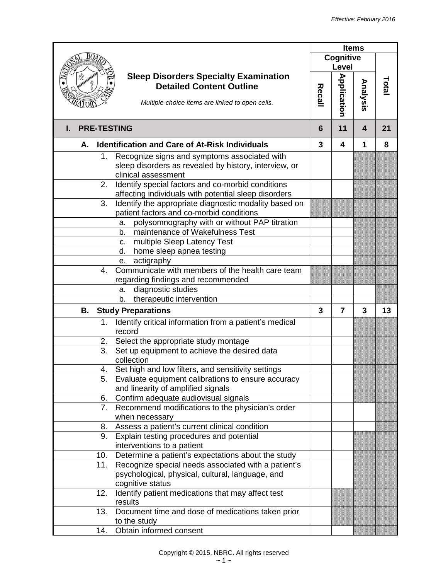|                                                                                              | <b>Items</b> |                         |          |       |
|----------------------------------------------------------------------------------------------|--------------|-------------------------|----------|-------|
|                                                                                              |              | Cognitive<br>Level      |          |       |
| <b>Sleep Disorders Specialty Examination</b>                                                 |              |                         |          |       |
| <b>Detailed Content Outline</b>                                                              |              |                         |          | Total |
| Multiple-choice items are linked to open cells.                                              | Recall       | <b>Application</b>      | Analysis |       |
| <b>PRE-TESTING</b><br>L.                                                                     | 6            | 11                      | 4        | 21    |
| <b>Identification and Care of At-Risk Individuals</b><br>А.                                  | 3            | 4                       | 1        | 8     |
| Recognize signs and symptoms associated with<br>1.                                           |              |                         |          |       |
| sleep disorders as revealed by history, interview, or                                        |              |                         |          |       |
| clinical assessment                                                                          |              |                         |          |       |
| Identify special factors and co-morbid conditions<br>2.                                      |              |                         |          |       |
| affecting individuals with potential sleep disorders                                         |              |                         |          |       |
| Identify the appropriate diagnostic modality based on<br>3.                                  |              |                         |          |       |
| patient factors and co-morbid conditions                                                     |              |                         |          |       |
| polysomnography with or without PAP titration<br>a.<br>maintenance of Wakefulness Test<br>b. |              |                         |          |       |
|                                                                                              |              |                         |          |       |
| multiple Sleep Latency Test<br>C.                                                            |              |                         |          |       |
| home sleep apnea testing<br>d.<br>actigraphy                                                 |              |                         |          |       |
| е.<br>Communicate with members of the health care team<br>4.                                 |              |                         |          |       |
| regarding findings and recommended                                                           |              |                         |          |       |
| diagnostic studies<br>a.                                                                     |              |                         |          |       |
| therapeutic intervention<br>b.                                                               |              |                         |          |       |
| В.<br><b>Study Preparations</b>                                                              | 3            | $\overline{\mathbf{z}}$ | 3        | 13    |
| Identify critical information from a patient's medical<br>1.                                 |              |                         |          |       |
| record                                                                                       |              |                         |          |       |
| Select the appropriate study montage<br>2.                                                   |              |                         |          |       |
| 3.<br>Set up equipment to achieve the desired data                                           |              |                         |          |       |
| collection                                                                                   |              |                         |          |       |
| Set high and low filters, and sensitivity settings<br>4.                                     |              |                         |          |       |
| Evaluate equipment calibrations to ensure accuracy<br>5.                                     |              |                         |          |       |
| and linearity of amplified signals                                                           |              |                         |          |       |
| Confirm adequate audiovisual signals<br>6.                                                   |              |                         |          |       |
| Recommend modifications to the physician's order<br>7.                                       |              |                         |          |       |
| when necessary                                                                               |              |                         |          |       |
| Assess a patient's current clinical condition<br>8.                                          |              |                         |          |       |
| Explain testing procedures and potential<br>9.                                               |              |                         |          |       |
| interventions to a patient                                                                   |              |                         |          |       |
| Determine a patient's expectations about the study<br>10.                                    |              |                         |          |       |
| Recognize special needs associated with a patient's<br>11.                                   |              |                         |          |       |
| psychological, physical, cultural, language, and                                             |              |                         |          |       |
| cognitive status                                                                             |              |                         |          |       |
| Identify patient medications that may affect test<br>12.                                     |              |                         |          |       |
| results                                                                                      |              |                         |          |       |
| 13.<br>Document time and dose of medications taken prior                                     |              |                         |          |       |
| to the study                                                                                 |              |                         |          |       |
| Obtain informed consent<br>14.                                                               |              |                         |          |       |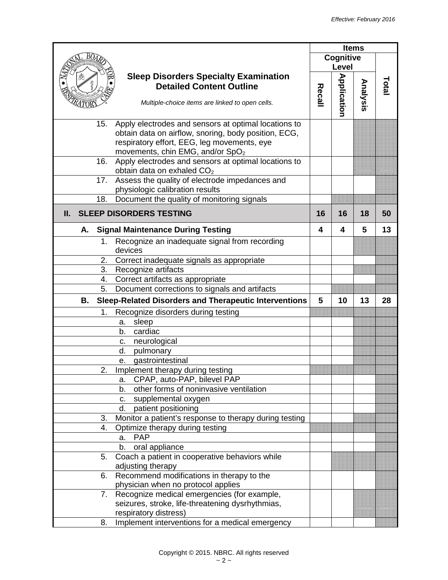|                                                                                                                                                                                                                    |        |                    | <b>Items</b> |       |
|--------------------------------------------------------------------------------------------------------------------------------------------------------------------------------------------------------------------|--------|--------------------|--------------|-------|
|                                                                                                                                                                                                                    |        | Cognitive<br>Level |              |       |
| <b>Sleep Disorders Specialty Examination</b><br><b>Detailed Content Outline</b><br>Multiple-choice items are linked to open cells.                                                                                 | Recall | <b>Application</b> | Analysis     | Total |
| Apply electrodes and sensors at optimal locations to<br>15.<br>obtain data on airflow, snoring, body position, ECG,<br>respiratory effort, EEG, leg movements, eye<br>movements, chin EMG, and/or SpO <sub>2</sub> |        |                    |              |       |
| Apply electrodes and sensors at optimal locations to<br>16.<br>obtain data on exhaled CO <sub>2</sub><br>17.                                                                                                       |        |                    |              |       |
| Assess the quality of electrode impedances and<br>physiologic calibration results<br>Document the quality of monitoring signals<br>18.                                                                             |        |                    |              |       |
|                                                                                                                                                                                                                    |        |                    |              |       |
| <b>SLEEP DISORDERS TESTING</b><br>Ш.                                                                                                                                                                               | 16     | 16                 | 18           | 50    |
| <b>Signal Maintenance During Testing</b><br>А.                                                                                                                                                                     | 4      | 4                  | 5            | 13    |
| Recognize an inadequate signal from recording<br>1.<br>devices                                                                                                                                                     |        |                    |              |       |
| Correct inadequate signals as appropriate<br>2.                                                                                                                                                                    |        |                    |              |       |
| 3.<br>Recognize artifacts                                                                                                                                                                                          |        |                    |              |       |
| Correct artifacts as appropriate<br>4.                                                                                                                                                                             |        |                    |              |       |
| 5.<br>Document corrections to signals and artifacts                                                                                                                                                                |        |                    |              |       |
| <b>Sleep-Related Disorders and Therapeutic Interventions</b><br>В.                                                                                                                                                 | 5      | 10                 | 13           | 28    |
| Recognize disorders during testing<br>1.                                                                                                                                                                           |        |                    |              |       |
| sleep<br>a.                                                                                                                                                                                                        |        |                    |              |       |
| cardiac<br>b.                                                                                                                                                                                                      |        |                    |              |       |
| neurological<br>c.                                                                                                                                                                                                 |        |                    |              |       |
| d.<br>pulmonary                                                                                                                                                                                                    |        |                    |              |       |
| gastrointestinal<br>е.                                                                                                                                                                                             |        |                    |              |       |
| $\overline{2}$<br>Implement therapy during testing                                                                                                                                                                 |        |                    |              |       |
| CPAP, auto-PAP, bilevel PAP<br>а.                                                                                                                                                                                  |        |                    |              |       |
| other forms of noninvasive ventilation<br>b.                                                                                                                                                                       |        |                    |              |       |
| supplemental oxygen<br>C.                                                                                                                                                                                          |        |                    |              |       |
| patient positioning<br>d.                                                                                                                                                                                          |        |                    |              |       |
| Monitor a patient's response to therapy during testing<br>3.                                                                                                                                                       |        |                    |              |       |
| Optimize therapy during testing<br>4.                                                                                                                                                                              |        |                    |              |       |
| <b>PAP</b><br>a.                                                                                                                                                                                                   |        |                    |              |       |
| oral appliance<br>b.                                                                                                                                                                                               |        |                    |              |       |
| 5.<br>Coach a patient in cooperative behaviors while<br>adjusting therapy                                                                                                                                          |        |                    |              |       |
| Recommend modifications in therapy to the<br>6.                                                                                                                                                                    |        |                    |              |       |
| physician when no protocol applies                                                                                                                                                                                 |        |                    |              |       |
| Recognize medical emergencies (for example,<br>7.<br>seizures, stroke, life-threatening dysrhythmias,                                                                                                              |        |                    |              |       |
| respiratory distress)                                                                                                                                                                                              |        |                    |              |       |
| Implement interventions for a medical emergency<br>8.                                                                                                                                                              |        |                    |              |       |
|                                                                                                                                                                                                                    |        |                    |              |       |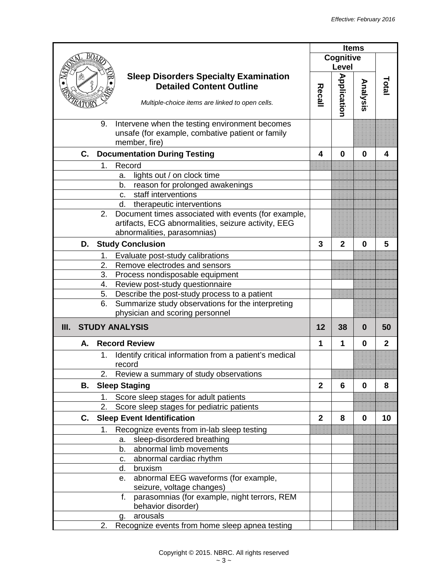|      |    |    |                                                                                                    |               |                    | <b>Items</b> |              |
|------|----|----|----------------------------------------------------------------------------------------------------|---------------|--------------------|--------------|--------------|
|      |    |    |                                                                                                    |               | Cognitive          |              |              |
|      |    |    |                                                                                                    |               | Level              |              |              |
|      |    |    | <b>Sleep Disorders Specialty Examination</b>                                                       |               |                    |              |              |
|      |    |    | <b>Detailed Content Outline</b>                                                                    | <b>Recall</b> |                    | Analysis     | Total        |
|      |    |    | Multiple-choice items are linked to open cells.                                                    |               |                    |              |              |
|      |    |    |                                                                                                    |               | <b>Application</b> |              |              |
|      |    | 9. |                                                                                                    |               |                    |              |              |
|      |    |    | Intervene when the testing environment becomes<br>unsafe (for example, combative patient or family |               |                    |              |              |
|      |    |    | member, fire)                                                                                      |               |                    |              |              |
|      | C. |    | <b>Documentation During Testing</b>                                                                | 4             | 0                  | $\bf{0}$     | 4            |
|      |    | 1. | Record                                                                                             |               |                    |              |              |
|      |    |    | lights out / on clock time<br>a.                                                                   |               |                    |              |              |
|      |    |    | reason for prolonged awakenings<br>b.                                                              |               |                    |              |              |
|      |    |    | staff interventions<br>C <sub>1</sub>                                                              |               |                    |              |              |
|      |    |    | d.<br>therapeutic interventions                                                                    |               |                    |              |              |
|      |    | 2. | Document times associated with events (for example,                                                |               |                    |              |              |
|      |    |    | artifacts, ECG abnormalities, seizure activity, EEG                                                |               |                    |              |              |
|      |    |    | abnormalities, parasomnias)                                                                        |               |                    |              |              |
|      | D. |    | <b>Study Conclusion</b>                                                                            | 3             | $\mathbf{2}$       | $\bf{0}$     | 5            |
|      |    | 1. | Evaluate post-study calibrations                                                                   |               |                    |              |              |
|      |    | 2. | Remove electrodes and sensors                                                                      |               |                    |              |              |
|      |    | 3. | Process nondisposable equipment                                                                    |               |                    |              |              |
|      |    | 4. | Review post-study questionnaire                                                                    |               |                    |              |              |
|      |    | 5. | Describe the post-study process to a patient                                                       |               |                    |              |              |
|      |    | 6. | Summarize study observations for the interpreting                                                  |               |                    |              |              |
|      |    |    | physician and scoring personnel                                                                    |               |                    |              |              |
| III. |    |    | <b>STUDY ANALYSIS</b>                                                                              | $12 \,$       | 38                 | 0            | 50           |
|      | А. |    | <b>Record Review</b>                                                                               | 1             | 1                  | $\bf{0}$     | $\mathbf{2}$ |
|      |    | 1. | Identify critical information from a patient's medical                                             |               |                    |              |              |
|      |    |    | record                                                                                             |               |                    |              |              |
|      |    | 2. | Review a summary of study observations                                                             |               |                    |              |              |
|      | В. |    | <b>Sleep Staging</b>                                                                               | $\mathbf{2}$  | 6                  | 0            | 8            |
|      |    | 1. | Score sleep stages for adult patients                                                              |               |                    |              |              |
|      |    | 2. | Score sleep stages for pediatric patients                                                          |               |                    |              |              |
|      | C. |    | <b>Sleep Event Identification</b>                                                                  | $\mathbf{2}$  | 8                  | $\mathbf 0$  | 10           |
|      |    | 1. | Recognize events from in-lab sleep testing                                                         |               |                    |              |              |
|      |    |    | sleep-disordered breathing<br>a.                                                                   |               |                    |              |              |
|      |    |    | abnormal limb movements<br>b.                                                                      |               |                    |              |              |
|      |    |    | abnormal cardiac rhythm<br>c.                                                                      |               |                    |              |              |
|      |    |    | bruxism<br>d.                                                                                      |               |                    |              |              |
|      |    |    | abnormal EEG waveforms (for example,<br>е.                                                         |               |                    |              |              |
|      |    |    | seizure, voltage changes)                                                                          |               |                    |              |              |
|      |    |    | parasomnias (for example, night terrors, REM<br>f.                                                 |               |                    |              |              |
|      |    |    | behavior disorder)                                                                                 |               |                    |              |              |
|      |    |    | arousals<br>q.                                                                                     |               |                    |              |              |
|      |    | 2. | Recognize events from home sleep apnea testing                                                     |               |                    |              |              |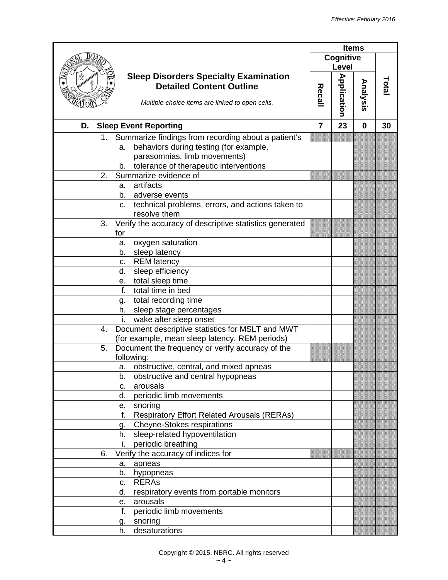|                                                                        |        |                    | <b>Items</b> |              |
|------------------------------------------------------------------------|--------|--------------------|--------------|--------------|
|                                                                        |        | Cognitive          |              |              |
|                                                                        |        | Level              |              |              |
| <b>Sleep Disorders Specialty Examination</b>                           |        |                    |              |              |
| <b>Detailed Content Outline</b>                                        |        |                    | Analysis     | <b>Total</b> |
|                                                                        | Recall |                    |              |              |
| Multiple-choice items are linked to open cells.                        |        | <b>Application</b> |              |              |
| D. Sleep Event Reporting                                               | 7      | 23                 | 0            | 30           |
|                                                                        |        |                    |              |              |
| Summarize findings from recording about a patient's<br>1.              |        |                    |              |              |
| behaviors during testing (for example,<br>a.                           |        |                    |              |              |
| parasomnias, limb movements)                                           |        |                    |              |              |
| tolerance of therapeutic interventions<br>b.                           |        |                    |              |              |
| Summarize evidence of<br>2.                                            |        |                    |              |              |
| artifacts<br>а.                                                        |        |                    |              |              |
| b.<br>adverse events                                                   |        |                    |              |              |
| technical problems, errors, and actions taken to<br>C.<br>resolve them |        |                    |              |              |
| Verify the accuracy of descriptive statistics generated<br>3.          |        |                    |              |              |
| for                                                                    |        |                    |              |              |
| oxygen saturation<br>а.                                                |        |                    |              |              |
| sleep latency<br>b.                                                    |        |                    |              |              |
| <b>REM</b> latency<br>C.                                               |        |                    |              |              |
| sleep efficiency<br>d.                                                 |        |                    |              |              |
| total sleep time<br>е.                                                 |        |                    |              |              |
| total time in bed<br>f.                                                |        |                    |              |              |
| total recording time<br>q.                                             |        |                    |              |              |
| sleep stage percentages<br>h.                                          |        |                    |              |              |
| wake after sleep onset                                                 |        |                    |              |              |
| Document descriptive statistics for MSLT and MWT<br>4.                 |        |                    |              |              |
| (for example, mean sleep latency, REM periods)                         |        |                    |              |              |
| 5.<br>Document the frequency or verify accuracy of the                 |        |                    |              |              |
| following:                                                             |        |                    |              |              |
| obstructive, central, and mixed apneas<br>a.                           |        |                    |              |              |
| obstructive and central hypopneas<br>b.                                |        |                    |              |              |
| arousals<br>c.                                                         |        |                    |              |              |
| periodic limb movements<br>d.                                          |        |                    |              |              |
| snoring<br>е.                                                          |        |                    |              |              |
| f.<br><b>Respiratory Effort Related Arousals (RERAs)</b>               |        |                    |              |              |
| <b>Cheyne-Stokes respirations</b><br>g.                                |        |                    |              |              |
| sleep-related hypoventilation<br>h.                                    |        |                    |              |              |
| periodic breathing<br>İ.                                               |        |                    |              |              |
| Verify the accuracy of indices for<br>6.                               |        |                    |              |              |
| apneas<br>а.                                                           |        |                    |              |              |
| b.<br>hypopneas                                                        |        |                    |              |              |
| <b>RERAS</b><br>c.                                                     |        |                    |              |              |
| respiratory events from portable monitors<br>d.                        |        |                    |              |              |
| arousals<br>е.                                                         |        |                    |              |              |
| f.<br>periodic limb movements                                          |        |                    |              |              |
| snoring<br>g.                                                          |        |                    |              |              |
| desaturations<br>h.                                                    |        |                    |              |              |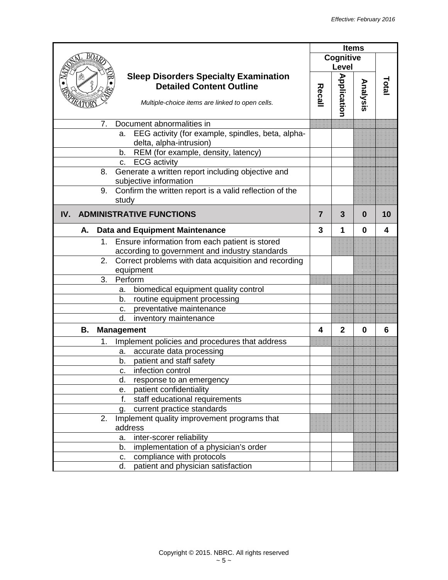|                                                                                                                                    |                |                    | <b>Items</b> |       |
|------------------------------------------------------------------------------------------------------------------------------------|----------------|--------------------|--------------|-------|
|                                                                                                                                    |                | Cognitive          |              |       |
|                                                                                                                                    |                | Level              |              |       |
| <b>Sleep Disorders Specialty Examination</b><br><b>Detailed Content Outline</b><br>Multiple-choice items are linked to open cells. | <b>Recall</b>  | <b>Application</b> | Analysis     | Fotal |
| Document abnormalities in<br>7.                                                                                                    |                |                    |              |       |
| EEG activity (for example, spindles, beta, alpha-<br>a.<br>delta, alpha-intrusion)                                                 |                |                    |              |       |
| REM (for example, density, latency)<br>b.                                                                                          |                |                    |              |       |
| <b>ECG</b> activity<br>C.                                                                                                          |                |                    |              |       |
| Generate a written report including objective and<br>8.<br>subjective information                                                  |                |                    |              |       |
| Confirm the written report is a valid reflection of the<br>9.<br>study                                                             |                |                    |              |       |
| <b>ADMINISTRATIVE FUNCTIONS</b><br>IV.                                                                                             | $\overline{7}$ | 3                  | 0            | 10    |
| <b>Data and Equipment Maintenance</b><br>А.                                                                                        | 3              | 1                  | 0            | 4     |
| 1. Ensure information from each patient is stored                                                                                  |                |                    |              |       |
| according to government and industry standards                                                                                     |                |                    |              |       |
| Correct problems with data acquisition and recording<br>2.<br>equipment                                                            |                |                    |              |       |
| 3.<br>Perform                                                                                                                      |                |                    |              |       |
| biomedical equipment quality control<br>a.                                                                                         |                |                    |              |       |
| routine equipment processing<br>b.                                                                                                 |                |                    |              |       |
| preventative maintenance<br>c.                                                                                                     |                |                    |              |       |
| d.<br>inventory maintenance                                                                                                        |                |                    |              |       |
| <b>Management</b><br>В.                                                                                                            | 4              | $\mathbf{2}$       | $\bf{0}$     | 6     |
| Implement policies and procedures that address<br>1.                                                                               |                |                    |              |       |
| accurate data processing<br>а.                                                                                                     |                |                    |              |       |
| patient and staff safety<br>b.                                                                                                     |                |                    |              |       |
| infection control<br>с.                                                                                                            |                |                    |              |       |
| d.<br>response to an emergency                                                                                                     |                |                    |              |       |
| patient confidentiality<br>е.                                                                                                      |                |                    |              |       |
| f.<br>staff educational requirements                                                                                               |                |                    |              |       |
| current practice standards<br>g.                                                                                                   |                |                    |              |       |
| Implement quality improvement programs that<br>2.<br>address                                                                       |                |                    |              |       |
| inter-scorer reliability<br>a.                                                                                                     |                |                    |              |       |
| implementation of a physician's order<br>b.                                                                                        |                |                    |              |       |
| compliance with protocols<br>c.                                                                                                    |                |                    |              |       |
| patient and physician satisfaction<br>d.                                                                                           |                |                    |              |       |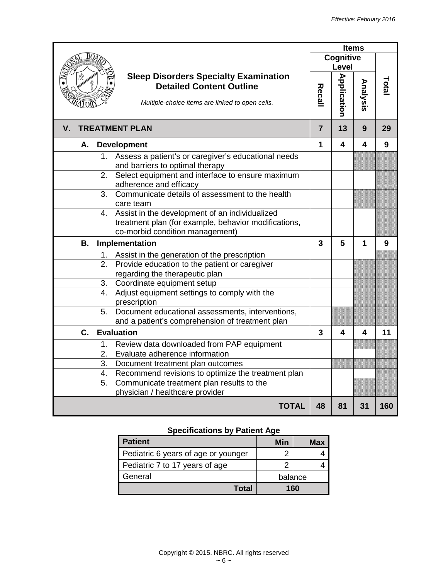|                                                                                                           |                |                    | <b>Items</b> |       |
|-----------------------------------------------------------------------------------------------------------|----------------|--------------------|--------------|-------|
|                                                                                                           |                | <b>Cognitive</b>   |              |       |
|                                                                                                           |                | Level              |              |       |
| <b>Sleep Disorders Specialty Examination</b><br><b>Detailed Content Outline</b>                           |                |                    |              |       |
|                                                                                                           |                |                    |              | Total |
| Multiple-choice items are linked to open cells.                                                           | Recall         | <b>Application</b> | Analysis     |       |
| <b>TREATMENT PLAN</b><br>V.                                                                               | $\overline{7}$ | 13                 | 9            | 29    |
| А.<br><b>Development</b>                                                                                  | 1              | 4                  | 4            | 9     |
| Assess a patient's or caregiver's educational needs<br>$1_{-}$                                            |                |                    |              |       |
| and barriers to optimal therapy                                                                           |                |                    |              |       |
| Select equipment and interface to ensure maximum<br>2.<br>adherence and efficacy                          |                |                    |              |       |
| Communicate details of assessment to the health<br>3 <sub>1</sub>                                         |                |                    |              |       |
| care team                                                                                                 |                |                    |              |       |
| 4. Assist in the development of an individualized<br>treatment plan (for example, behavior modifications, |                |                    |              |       |
| co-morbid condition management)                                                                           |                |                    |              |       |
| <b>B.</b><br>Implementation                                                                               | 3              | 5                  | 1            | 9     |
| Assist in the generation of the prescription                                                              |                |                    |              |       |
| 1.<br>Provide education to the patient or caregiver<br>2.                                                 |                |                    |              |       |
| regarding the therapeutic plan                                                                            |                |                    |              |       |
| Coordinate equipment setup<br>3.                                                                          |                |                    |              |       |
| 4.<br>Adjust equipment settings to comply with the                                                        |                |                    |              |       |
| prescription                                                                                              |                |                    |              |       |
| Document educational assessments, interventions,<br>5.                                                    |                |                    |              |       |
| and a patient's comprehension of treatment plan                                                           |                |                    |              |       |
| $\mathbf{C}$ .<br><b>Evaluation</b>                                                                       | 3              | 4                  | 4            | 11    |
| Review data downloaded from PAP equipment<br>1.                                                           |                |                    |              |       |
| Evaluate adherence information<br>2.                                                                      |                |                    |              |       |
| 3.<br>Document treatment plan outcomes                                                                    |                |                    |              |       |
| Recommend revisions to optimize the treatment plan<br>4.                                                  |                |                    |              |       |
| Communicate treatment plan results to the<br>5.                                                           |                |                    |              |       |
| physician / healthcare provider                                                                           |                |                    |              |       |
| <b>TOTAL</b>                                                                                              | 48             | 81                 | 31           | 160   |

## **Specifications by Patient Age**

| <b>Patient</b>                      | Min     | <b>Max</b> |  |
|-------------------------------------|---------|------------|--|
| Pediatric 6 years of age or younger |         |            |  |
| Pediatric 7 to 17 years of age      |         |            |  |
| General                             | balance |            |  |
| Total                               | 160     |            |  |